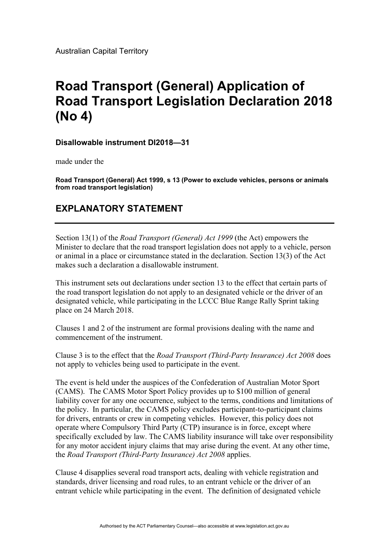Australian Capital Territory

## **Road Transport (General) Application of Road Transport Legislation Declaration 2018 (No 4)**

**Disallowable instrument DI2018—31** 

made under the

**Road Transport (General) Act 1999, s 13 (Power to exclude vehicles, persons or animals from road transport legislation)** 

## **EXPLANATORY STATEMENT**

Section 13(1) of the *Road Transport (General) Act 1999* (the Act) empowers the Minister to declare that the road transport legislation does not apply to a vehicle, person or animal in a place or circumstance stated in the declaration. Section 13(3) of the Act makes such a declaration a disallowable instrument.

This instrument sets out declarations under section 13 to the effect that certain parts of the road transport legislation do not apply to an designated vehicle or the driver of an designated vehicle, while participating in the LCCC Blue Range Rally Sprint taking place on 24 March 2018.

Clauses 1 and 2 of the instrument are formal provisions dealing with the name and commencement of the instrument.

Clause 3 is to the effect that the *Road Transport (Third-Party Insurance) Act 2008* does not apply to vehicles being used to participate in the event.

The event is held under the auspices of the Confederation of Australian Motor Sport (CAMS). The CAMS Motor Sport Policy provides up to \$100 million of general liability cover for any one occurrence, subject to the terms, conditions and limitations of the policy. In particular, the CAMS policy excludes participant-to-participant claims for drivers, entrants or crew in competing vehicles. However, this policy does not operate where Compulsory Third Party (CTP) insurance is in force, except where specifically excluded by law. The CAMS liability insurance will take over responsibility for any motor accident injury claims that may arise during the event. At any other time, the *Road Transport (Third-Party Insurance) Act 2008* applies.

Clause 4 disapplies several road transport acts, dealing with vehicle registration and standards, driver licensing and road rules, to an entrant vehicle or the driver of an entrant vehicle while participating in the event. The definition of designated vehicle